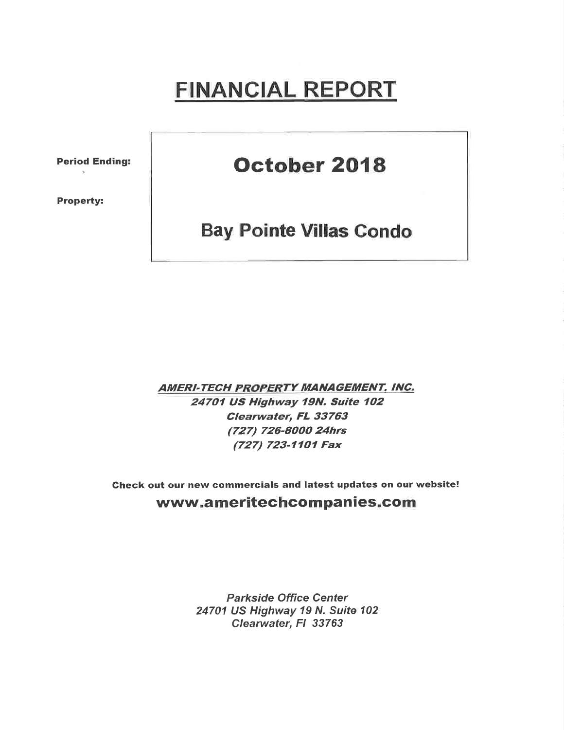# FINANCIAL REPORT

Period Ending:

Property:

## October 2018

### Bay Pointe Villas Gondo

AMERI-TECH PROPERTY MANAGEMENT, INC. 24701 US Highway 19N. Suite 102 Clearwater, FL 33763 (727) 726-8000 24hrs (727) 723-1101 Fax

Gheck out our new commercials and latest updates on our website! www.ameritechcompanies.com

> Parkside Office Center 24701 US Highway 19 N. Suite 102 Clearwater, FI 33763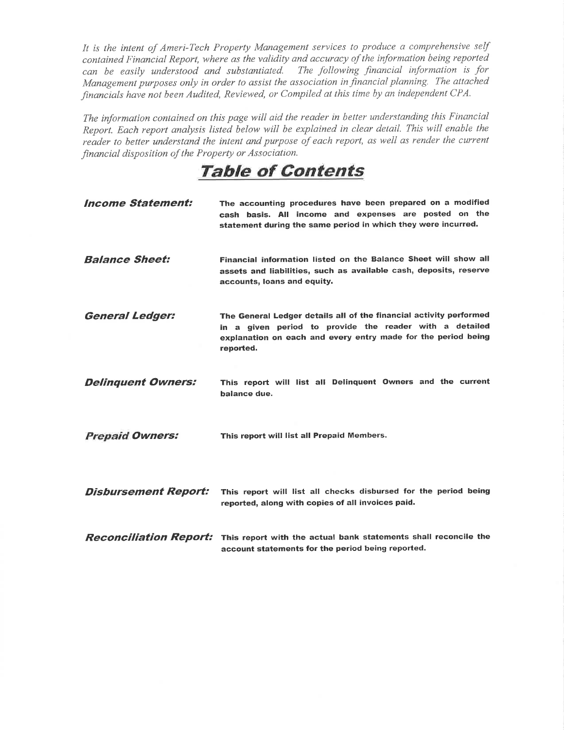It is the intent of Ameri-Tech Property Management services to produce a comprehensive self contained Financial Report, where as the validity and accuracy of the information being reported can be easily understood and substantiated. The following financial information is for Management purposes only in order to assist the association in financial planning. The attached financials have not been Audited, Reviewed, or Compiled at this time by an independent CPA.

The information contained on this page will aid the reader in better understanding this Financial Report. Each report analysis listed below will be explained in clear detail. This will enable the reader to better understand the intent and purpose of each report, as well as render the current financial disposition of the Property or Association.

TaþIe of Contents

| <b>Income Statement:</b>    | The accounting procedures have been prepared on a modified<br>cash basis. All income and expenses are posted on the<br>statement during the same period in which they were incurred.                        |
|-----------------------------|-------------------------------------------------------------------------------------------------------------------------------------------------------------------------------------------------------------|
| <b>Balance Sheet:</b>       | Financial information listed on the Balance Sheet will show all<br>assets and liabilities, such as available cash, deposits, reserve<br>accounts, loans and equity.                                         |
| <b>General Ledger:</b>      | The General Ledger details all of the financial activity performed<br>in a given period to provide the reader with a detailed<br>explanation on each and every entry made for the period being<br>reported. |
| <b>Delinquent Owners:</b>   | This report will list all Delinguent Owners and the current<br>balance due.                                                                                                                                 |
| <b>Prepaid Owners:</b>      | This report will list all Prepaid Members.                                                                                                                                                                  |
| <b>Disbursement Report:</b> | This report will list all checks disbursed for the period being<br>reported, along with copies of all invoices paid.                                                                                        |
|                             | Reconciliation Report: This report with the actual bank statements shall reconcile the<br>account statements for the period being reported.                                                                 |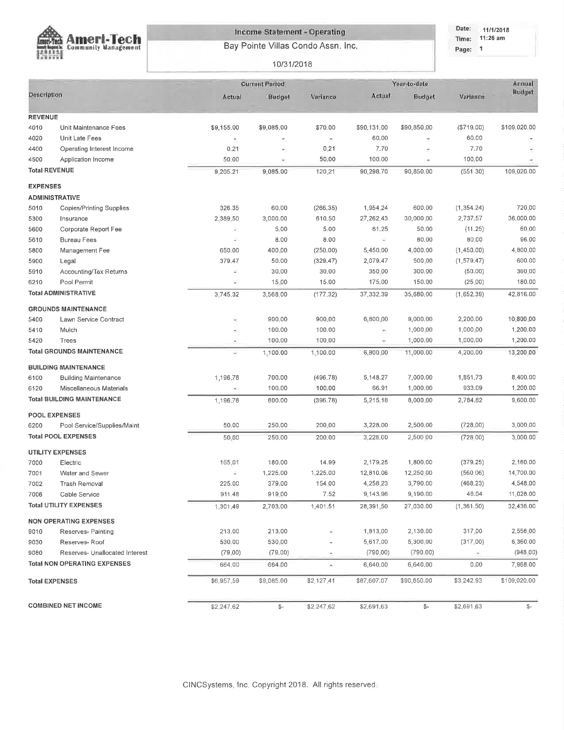

#### Income Statement - Operating

Bay Pointe Villas Condo Assn. Inc.

Date: 11/1/2018

#### 10/31/2018

Time: 11:26 am Page: 1

|                      |                                     |                 | <b>Current Period</b> |                | Year-to-date | Annual        |             |              |
|----------------------|-------------------------------------|-----------------|-----------------------|----------------|--------------|---------------|-------------|--------------|
| Description          |                                     | Actual          | Budget                | Variance       | Actual       | <b>Budget</b> | Variance.   | Budget       |
| <b>REVENUE</b>       |                                     |                 |                       |                |              |               |             |              |
| 4010                 | Unit Maintenance Fees               | \$9,155.00      | \$9,085.00            | \$70.00        | \$90,131.00  | \$90,850,00   | (\$719.00)  | \$109,020.00 |
| 4020                 | Unit Late Fees                      | $\approx$       | ۰                     | $\overline{a}$ | 60.00        | ٠             | 60.00       |              |
| 4400                 | Operating Interest Income           | 0.21            |                       | 0,21           | 7.70         |               | 7.70        |              |
| 4500                 | Application Income                  | 50.00           | $\bar{\nu}$           | 50.00          | 100.00       | $\bar{a}$     | 100,00      | ×,           |
| <b>Total REVENUE</b> |                                     | 9,205.21        | 9,085.00              | 120.21         | 90,298.70    | 90,850.00     | (55130)     | 109,020,00   |
| <b>EXPENSES</b>      |                                     |                 |                       |                |              |               |             |              |
|                      | <b>ADMINISTRATIVE</b>               |                 |                       |                |              |               |             |              |
| 5010                 | <b>Copies/Printing Supplies</b>     | 326.35          | 60.00                 | (266.35)       | 1,954.24     | 600.00        | (1, 354.24) | 720.00       |
| 5300                 | Insurance                           | 2,389.50        | 3,000.00              | 610.50         | 27,262.43    | 30,000.00     | 2,737.57    | 36,000,00    |
| 5600                 | Corporate Report Fee                | 2               | 5.00                  | 5.00           | 61.25        | 50.00         | (11.25)     | 60.00        |
| 5610                 | <b>Bureau Fees</b>                  | A)              | 8.00                  | 8.00           | Ψ            | 80.00         | 80.00       | 96.00        |
| 5800                 | Management Fee                      | 650.00          | 400.00                | (250.00)       | 5,450.00     | 4,000.00      | (1,450.00)  | 4,800.00     |
| 5900                 | Legal                               | 379.47          | 50.00                 | (329.47)       | 2,079.47     | 500,00        | (1, 579.47) | 600,00       |
| 5910                 | Accounting/Tax Returns              | ÷               | 30.00                 | 30.00          | 350.00       | 300.00        | (50,00)     | 360.00       |
| 6210                 | Pool Permit                         | á,              | 15.00                 | 15.00          | 175.00       | 150.00        | (25,00)     | 180.00       |
|                      | <b>Total ADMINISTRATIVE</b>         | 3,745.32        | 3,568,00              | (177.32)       | 37, 332.39   | 35,680.00     | (1,652.39)  | 42,816.00    |
|                      | <b>GROUNDS MAINTENANCE</b>          |                 |                       |                |              |               |             |              |
| 5400                 | Lawn Service Contract               | $\mathcal{P}_i$ | 900,00                | 900.00         | 6,800.00     | 9,000.00      | 2,200.00    | 10,800.00    |
| 5410                 | Mulch                               |                 | 100.00                | 100.00         | ž,           | 1,000,00      | 1,000,00    | 1,200.00     |
| 5420                 | Trees                               |                 | 100.00                | 100:00         |              | 1,000.00      | 1,000.00    | 1,200.00     |
|                      | <b>Total GROUNDS MAINTENANCE</b>    | ¥,              | 1,100.00              | 1,100.00       | 6,800.00     | 11,000.00     | 4,200,00    | 13,200.00    |
|                      | <b>BUILDING MAINTENANCE</b>         |                 |                       |                |              |               |             |              |
| 6100                 | <b>Building Maintenance</b>         | 1,196,78        | 700.00                | (496.78)       | 5,148.27     | 7,000.00      | 1,851.73    | 8,400.00     |
| 6120                 | Miscellaneous Materials             | ÷,              | 100.00                | 100.00         | 66.91        | 1,000.00      | 933.09      | 1,200.00     |
|                      | <b>Total BUILDING MAINTENANCE</b>   | 1,196,78        | 800.00                | (396.78)       | 5,215.18     | 8,000.00      | 2,784.82    | 9,600.00     |
|                      | <b>POOL EXPENSES</b>                |                 |                       |                |              |               |             |              |
| 6200                 | Pool Service/Supplies/Maint         | 50,00           | 250,00                | 200:00         | 3,228.00     | 2,500.00      | (728.00)    | 3,000.00     |
|                      | <b>Total POOL EXPENSES</b>          | 50.00           | 250,00                | 200,00         | 3,228.00     | 2,500.00      | (728.00)    | 3,000.00     |
|                      | <b>UTILITY EXPENSES</b>             |                 |                       |                |              |               |             |              |
| 7000                 | Electric                            | 165.01          | 180.00                | 14.99          | 2,179.25     | 1,800.00      | (379.25)    | 2,160.00     |
| 7001                 | Water and Sewer                     | 2               | 1,225.00              | 1,225.00       | 12,810.06    | 12,250 00     | (560.06)    | 14,700.00    |
| 7002                 | Trash Removal                       | 225.00          | 379,00                | 154.00         | 4,258.23     | 3,790.00      | (468.23)    | 4,548.00     |
| 7006                 | Cable Service                       | 911.48          | 919.00                | 7.52           | 9,143.96     | 9,190.00      | 46.04       | 11,028.00    |
|                      | <b>Total UTILITY EXPENSES</b>       | 1,301.49        | 2,703.00              | 1,401.51       | 28,391,50    | 27,030.00     | (1, 361.50) | 32,436.00    |
|                      | <b>NON OPERATING EXPENSES</b>       |                 |                       |                |              |               |             |              |
| 9010                 | Reserves- Painting                  | 213.00          | 213.00                |                | 1,813,00     | 2,130.00      | 317,00      | 2,556.00     |
| 9030                 | Reserves-Roof                       | 530.00          | 530.00                |                | 5,617.00     | 5,300,00      | (317,00)    | 6,360.00     |
| 9080                 | Reserves- Unallocated Interest      | (79, 00)        | (79.00)               |                | (790, 00)    | (790.00)      | $\sim$      | (948,00)     |
|                      | <b>Total NON OPERATING EXPENSES</b> | 664.00          | 664.00                | Ξ              | 6,640.00     | 6,640.00      | 0.00        | 7,968.00     |
|                      | <b>Total EXPENSES</b>               | \$6,957,59      | \$9,085.00            | \$2,127,41     | \$87,607.07  | \$90,850.00   | \$3,242.93  | \$109,020.00 |
|                      | <b>COMBINED NET INCOME</b>          | \$2,247.62      | \$-                   | \$2,247.62     | \$2,691.63   | \$-           | \$2,691,63  | $S-$         |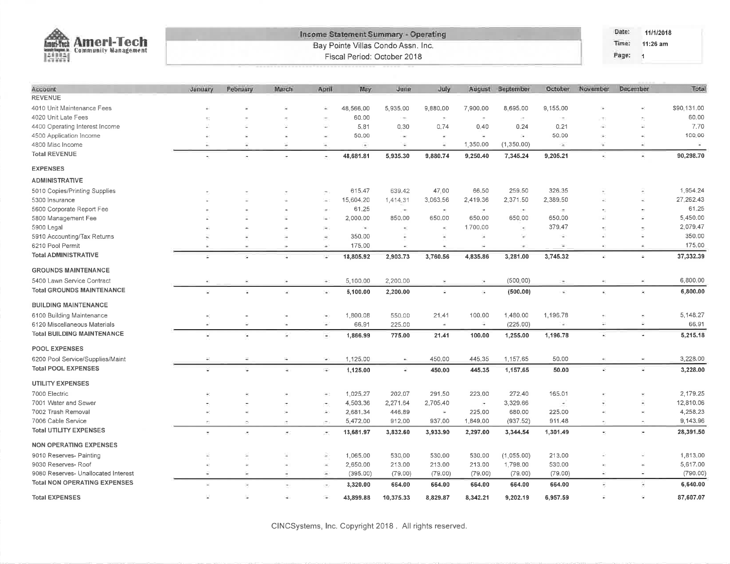| amer<br>lmen Tech<br><b>Community Management</b><br>團團 |                |          |                |                          | Income Statement Summary - Operating<br>Bay Pointe Villas Condo Assn. Inc.<br>Fiscal Period: October 2018 |                    |           |                          |                          |          |                     | Date:<br>Time:<br>Page:<br>$\overline{1}$ | 11/1/2018<br>$11:26$ am |
|--------------------------------------------------------|----------------|----------|----------------|--------------------------|-----------------------------------------------------------------------------------------------------------|--------------------|-----------|--------------------------|--------------------------|----------|---------------------|-------------------------------------------|-------------------------|
| Account                                                | <b>January</b> | February | March          | April                    | May.                                                                                                      | June               | July      | August                   | September                | October  | November            | December                                  | Total                   |
| <b>REVENUE</b>                                         |                |          |                |                          |                                                                                                           |                    |           |                          |                          |          |                     |                                           |                         |
| 4010 Unit Maintenance Fees                             |                |          |                | ÷                        | 48,566.00                                                                                                 | 5,935.00           | 9,880.00  | 7,900.00                 | 8,695.00                 | 9,155.00 |                     |                                           | \$90,131.00             |
| 4020 Unit Late Fees                                    |                |          |                |                          | 60.00                                                                                                     | $\sim$             | ٠         | $\preceq$                | ×.                       | ۰        |                     |                                           | 60.00                   |
| 4400 Operating Interest Income                         |                |          |                |                          | 5.81                                                                                                      | 0.30               | 0.74      | 0.40                     | 0.24                     | 0.21     |                     |                                           | 7.70                    |
| 4500 Application Income                                |                |          |                |                          | 50.00                                                                                                     | $\sim$             |           | $\overline{a}$           | $\overline{\phantom{a}}$ | 50.00    | ٠                   |                                           | 100,00                  |
| 4800 Misc Income                                       |                |          | ٠              | ч.                       | Ξ                                                                                                         | ÷                  | ×         | 1,350.00                 | (1,350.00)               | ×        | н                   | ÷                                         | ÷.                      |
| <b>Total REVENUE</b>                                   |                |          | ٠              | $\overline{\phantom{a}}$ | 48,681.81                                                                                                 | 5,935.30           | 9,880.74  | 9,250.40                 | 7,345.24                 | 9,205.21 |                     | Ξ                                         | 90,298.70               |
| <b>EXPENSES</b>                                        |                |          |                |                          |                                                                                                           |                    |           |                          |                          |          |                     |                                           |                         |
| <b>ADMINISTRATIVE</b>                                  |                |          |                |                          |                                                                                                           |                    |           |                          |                          |          |                     |                                           |                         |
| 5010 Copies/Printing Supplies                          |                |          |                |                          | 615.47                                                                                                    | 639.42             | 47.00     | 66.50                    | 259.50                   | 326.35   |                     |                                           | 1,954.24                |
| 5300 Insurance                                         |                |          |                |                          | 15,604.20                                                                                                 | 1,414.31           | 3,063.56  | 2,419.36                 | 2,371.50                 | 2,389.50 |                     |                                           | 27,262.43               |
| 5600 Corporate Report Fee                              |                |          |                |                          | 61.25                                                                                                     | $\sim$             |           |                          | $\overline{\phantom{a}}$ | ٠        |                     |                                           | 61.25                   |
| 5800 Management Fee                                    |                |          |                | ÷.                       | 2,000.00                                                                                                  | 850.00             | 650.00    | 650.00                   | 650,00                   | 650.00   |                     |                                           | 5,450.00                |
| 5900 Legal                                             |                |          |                | $\rightarrow$            | w                                                                                                         |                    |           | 1,700.00                 | $\blacksquare$           | 379.47   |                     |                                           | 2,079.47                |
| 5910 Accounting/Tax Returns                            |                |          |                | $\rightarrow$            | 350.00                                                                                                    |                    | ×         | Ξ                        | 9                        | ÷        |                     | ٠                                         | 350.00                  |
| 6210 Pool Permit                                       |                |          | ÷              | $\overline{\phantom{a}}$ | 175.00                                                                                                    | $\hat{\mathbf{r}}$ | ٠         | ÷                        | ×                        |          |                     |                                           | 175.00                  |
| <b>Total ADMINISTRATIVE</b>                            |                |          | ٠              | ×                        | 18,805.92                                                                                                 | 2,903.73           | 3,760.56  | 4,835.86                 | 3,281.00                 | 3,745.32 | ¥.                  | $\tilde{\phantom{a}}$                     | 37,332.39               |
| <b>GROUNDS MAINTENANCE</b>                             |                |          |                |                          |                                                                                                           |                    |           |                          |                          |          |                     |                                           |                         |
| 5400 Lawn Service Contract                             |                |          |                | $\bullet$                | 5,100.00                                                                                                  | 2,200.00           |           | $\mathcal{P}$            | (500.00)                 |          |                     |                                           | 6,800.00                |
| <b>Total GROUNDS MAINTENANCE</b>                       |                |          | п.             | ò.                       | 5,100.00                                                                                                  | 2,200.00           | Ğ.        | τŵ                       | (500.00)                 | ×.       |                     | ¥,                                        | 6,800.00                |
| <b>BUILDING MAINTENANCE</b>                            |                |          |                |                          |                                                                                                           |                    |           |                          |                          |          |                     |                                           |                         |
| 6100 Building Maintenance                              |                |          |                | $\blacksquare$           | 1,800.08                                                                                                  | 550.00             | $21 - 41$ | 100.00                   | 1,480.00                 | 1,196.78 |                     |                                           | 5,148.27                |
| 6120 Miscellaneous Materials                           |                |          | i.             | u                        | 66.91                                                                                                     | 225.00             | ٠         | ÷                        | (225.00)                 |          | ×                   | ÷.                                        | 66.91                   |
| <b>Total BUILDING MAINTENANCE</b>                      |                |          | ä              | ≈                        | 1,866.99                                                                                                  | 775.00             | 21.41     | 100.00                   | 1,255.00                 | 1,196.78 |                     | ä,                                        | 5,215.18                |
| <b>POOL EXPENSES</b>                                   |                |          |                |                          |                                                                                                           |                    |           |                          |                          |          |                     |                                           |                         |
| 6200 Pool Service/Supplies/Maint                       |                | ÷        | E.             | $\tilde{\phantom{a}}$    | 1,125.00                                                                                                  | $\hat{\mathbf{a}}$ | 450.00    | 445.35                   | 1,157.65                 | 50.00    | ÷                   | $\overline{\phantom{a}}$                  | 3,228.00                |
| <b>Total POOL EXPENSES</b>                             |                |          |                | S.                       | 1,125.00                                                                                                  | ¥.                 | 450.00    | 445.35                   | 1,157,65                 | 50.00    | $\overline{\omega}$ | Ψ                                         | 3,228.00                |
| UTILITY EXPENSES                                       |                |          |                |                          |                                                                                                           |                    |           |                          |                          |          |                     |                                           |                         |
| 7000 Electric                                          |                |          |                | $\sim$                   | 1,025.27                                                                                                  | 202.07             | 291.50    | 223.00                   | 272,40                   | 165.01   |                     |                                           | 2,179.25                |
| 7001 Water and Sewer                                   |                |          |                |                          | 4,503.36                                                                                                  | 2,271.64           | 2,705.40  | $\overline{\phantom{a}}$ | 3,329.66                 | ٠        |                     | Ξ                                         | 12,810.06               |
| 7002 Trash Removal                                     |                |          | ÿ,             | Ğ.                       | 2,681.34                                                                                                  | 446,89             | ÷         | 225.00                   | 680,00                   | 225.00   |                     | ¥                                         | 4,258.23                |
| 7006 Cable Service                                     |                |          | $\overline{a}$ | ×                        | 5,472.00                                                                                                  | 912.00             | 937.00    | 1,849.00                 | (937.52)                 | 911.48   | ۰                   | ۰                                         | 9,143.96                |
| <b>Total UTILITY EXPENSES</b>                          |                |          | $\sim$         | ×                        | 13,681.97                                                                                                 | 3,832.60           | 3,933.90  | 2,297.00                 | 3,344.54                 | 1,301.49 | ۰                   | $\overline{\phantom{a}}$                  | 28,391.50               |
| <b>NON OPERATING EXPENSES</b>                          |                |          |                |                          |                                                                                                           |                    |           |                          |                          |          |                     |                                           |                         |
| 9010 Reserves- Painting                                |                |          |                | ÷                        | 1,065.00                                                                                                  | 530.00             | 530,00    | 530.00                   | (1,055.00)               | 213,00   |                     |                                           | 1,813.00                |
| 9030 Reserves- Roof                                    |                |          |                | $\overline{\phantom{a}}$ | 2,650.00                                                                                                  | 213.00             | 213.00    | 213.00                   | 1,798.00                 | 530.00   |                     |                                           | 5,617,00                |
| 9080 Reserves- Unallocated Interest                    |                | ٠        | ٠              | ×                        | (395.00)                                                                                                  | (79.00)            | (79.00)   | (79.00)                  | (79.00)                  | (79.00)  | ÷                   | $\sim$                                    | (790.00)                |
| <b>Total NON OPERATING EXPENSES</b>                    |                |          |                | œ,                       | 3,320.00                                                                                                  | 664.00             | 664.00    | 664.00                   | 664.00                   | 664.00   |                     | ×                                         | 6,640.00                |
| <b>Total EXPENSES</b>                                  |                |          | ÷              |                          | 43,899.88                                                                                                 | 10,375.33          | 8,829.87  | 8,342.21                 | 9,202.19                 | 6,957.59 |                     | ×,                                        | 87,607.07               |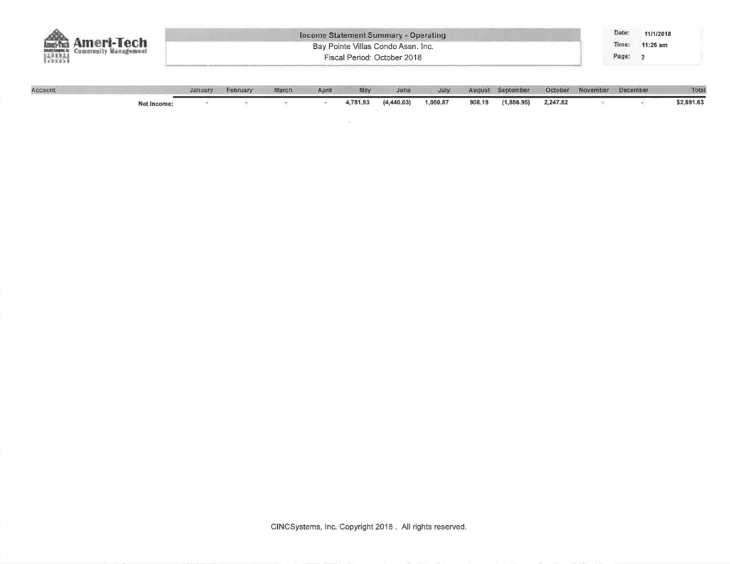| <b><i><u><b>Incited</b></u></i> Ameri-Tech</b><br><b>Example:</b> Community Management | Income Statement Summary - Operating | Date  | 11/1/2018  |
|----------------------------------------------------------------------------------------|--------------------------------------|-------|------------|
|                                                                                        | Bay Pointe Villas Condo Assn. Inc.   | Tima. | $11:26$ am |
|                                                                                        | Fiscal Period: October 2018          | Page: |            |

| Account |                    | January | February | March | April | May      | <b>June</b> | July     |        | August September: October November |          | December | Total      |
|---------|--------------------|---------|----------|-------|-------|----------|-------------|----------|--------|------------------------------------|----------|----------|------------|
|         | <b>Net Income:</b> |         |          |       |       | 4,781.93 | (4, 440.03) | 1,050.87 | 908.19 | (1,856.95)                         | 2,247.62 |          | \$2,691.63 |

 $\sim$